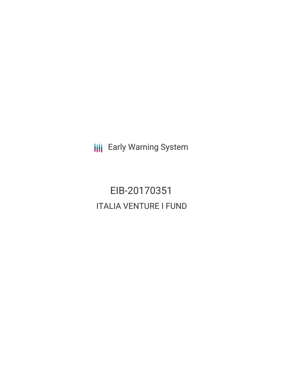**III** Early Warning System

EIB-20170351 ITALIA VENTURE I FUND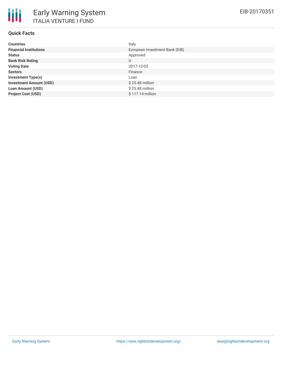| <b>Countries</b>               | Italy                          |
|--------------------------------|--------------------------------|
| <b>Financial Institutions</b>  | European Investment Bank (EIB) |
| <b>Status</b>                  | Approved                       |
| <b>Bank Risk Rating</b>        | U                              |
| <b>Voting Date</b>             | 2017-10-05                     |
| <b>Sectors</b>                 | Finance                        |
| <b>Investment Type(s)</b>      | Loan                           |
| <b>Investment Amount (USD)</b> | $$25.48$ million               |
| <b>Loan Amount (USD)</b>       | $$25.48$ million               |
| <b>Project Cost (USD)</b>      | $$117.14$ million              |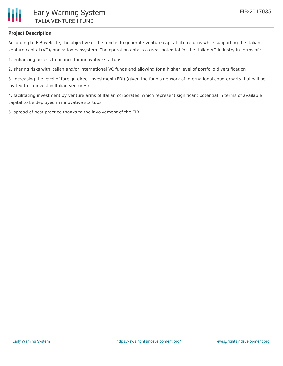

## **Project Description**

According to EIB website, the objective of the fund is to generate venture capital-like returns while supporting the Italian venture capital (VC)/innovation ecosystem. The operation entails a great potential for the Italian VC industry in terms of :

1. enhancing access to finance for innovative startups

2. sharing risks with Italian and/or international VC funds and allowing for a higher level of portfolio diversification

3. increasing the level of foreign direct investment (FDI) (given the fund's network of international counterparts that will be invited to co-invest in Italian ventures)

4. facilitating investment by venture arms of Italian corporates, which represent significant potential in terms of available capital to be deployed in innovative startups

5. spread of best practice thanks to the involvement of the EIB.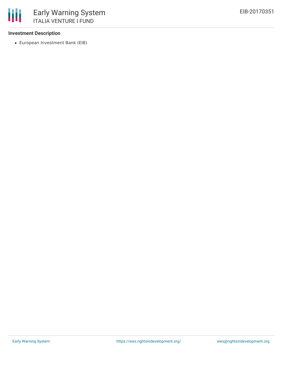## **Investment Description**

European Investment Bank (EIB)